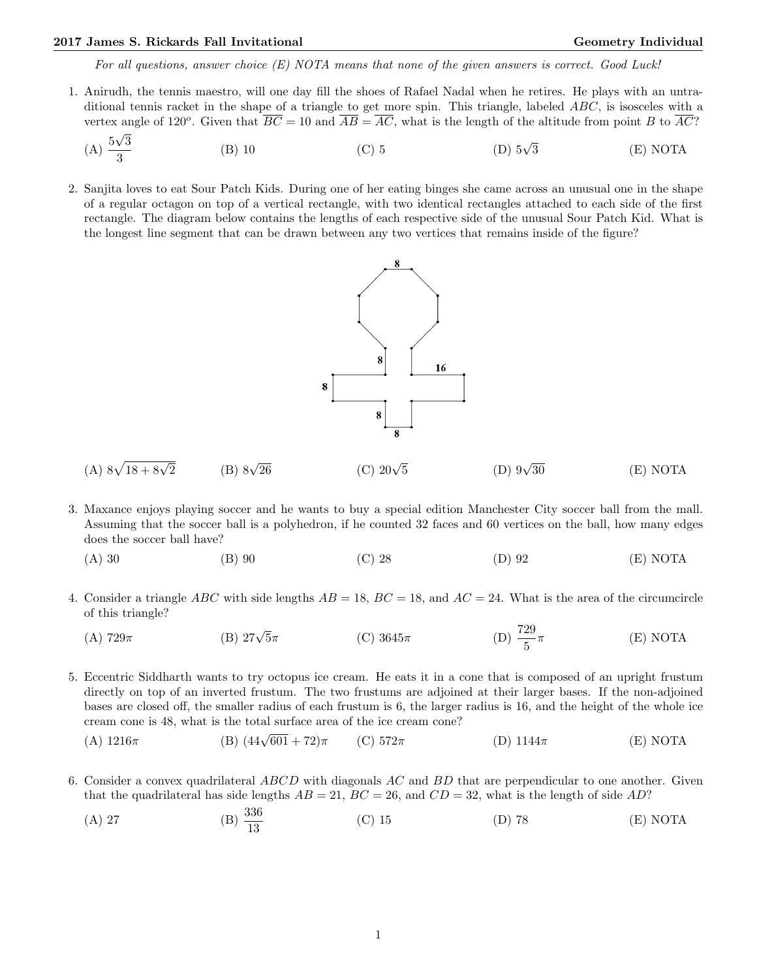## 2017 James S. Rickards Fall Invitational Geometry Individual Geometry Individual

For all questions, answer choice  $(E)$  NOTA means that none of the given answers is correct. Good Luck!

- 1. Anirudh, the tennis maestro, will one day fill the shoes of Rafael Nadal when he retires. He plays with an untraditional tennis racket in the shape of a triangle to get more spin. This triangle, labeled ABC, is isosceles with a vertex angle of 120<sup>o</sup>. Given that  $\overline{BC} = 10$  and  $\overline{AB} = \overline{AC}$ , what is the length of the altitude from point B to  $\overline{AC}$ ? √
	- $(A) \frac{5}{4}$ 3 3 (B) 10 (C) 5 (D) 5√ (D)  $5\sqrt{3}$  (E) NOTA
- 2. Sanjita loves to eat Sour Patch Kids. During one of her eating binges she came across an unusual one in the shape of a regular octagon on top of a vertical rectangle, with two identical rectangles attached to each side of the first rectangle. The diagram below contains the lengths of each respective side of the unusual Sour Patch Kid. What is the longest line segment that can be drawn between any two vertices that remains inside of the figure?



- (A)  $8\sqrt{18 + 8\sqrt{2}}$ (B)  $8\sqrt{26}$ (C)  $20\sqrt{5}$ (D)  $9\sqrt{30}$  $(E) NOTA$
- 3. Maxance enjoys playing soccer and he wants to buy a special edition Manchester City soccer ball from the mall. Assuming that the soccer ball is a polyhedron, if he counted 32 faces and 60 vertices on the ball, how many edges does the soccer ball have?
	- (A) 30 (B) 90 (C) 28 (D) 92 (E) NOTA
- 4. Consider a triangle ABC with side lengths  $AB = 18$ ,  $BC = 18$ , and  $AC = 24$ . What is the area of the circumcircle of this triangle?
	- (A) 729 $\pi$  (B) 27 $\sqrt{5}\pi$  $5\pi$  (C)  $3645\pi$  (D)  $\frac{729}{5}$  $(E) NOTA$
- 5. Eccentric Siddharth wants to try octopus ice cream. He eats it in a cone that is composed of an upright frustum directly on top of an inverted frustum. The two frustums are adjoined at their larger bases. If the non-adjoined bases are closed off, the smaller radius of each frustum is 6, the larger radius is 16, and the height of the whole ice cream cone is 48, what is the total surface area of the ice cream cone?
	- (A)  $1216\pi$  (B)  $(44\sqrt{601} + 72)\pi$ (C)  $572\pi$  (D)  $1144\pi$  (E) NOTA
- 6. Consider a convex quadrilateral ABCD with diagonals AC and BD that are perpendicular to one another. Given that the quadrilateral has side lengths  $AB = 21$ ,  $BC = 26$ , and  $CD = 32$ , what is the length of side AD?
	- (A) 27 (B)  $\frac{336}{13}$ (C) 15 (D) 78 (E) NOTA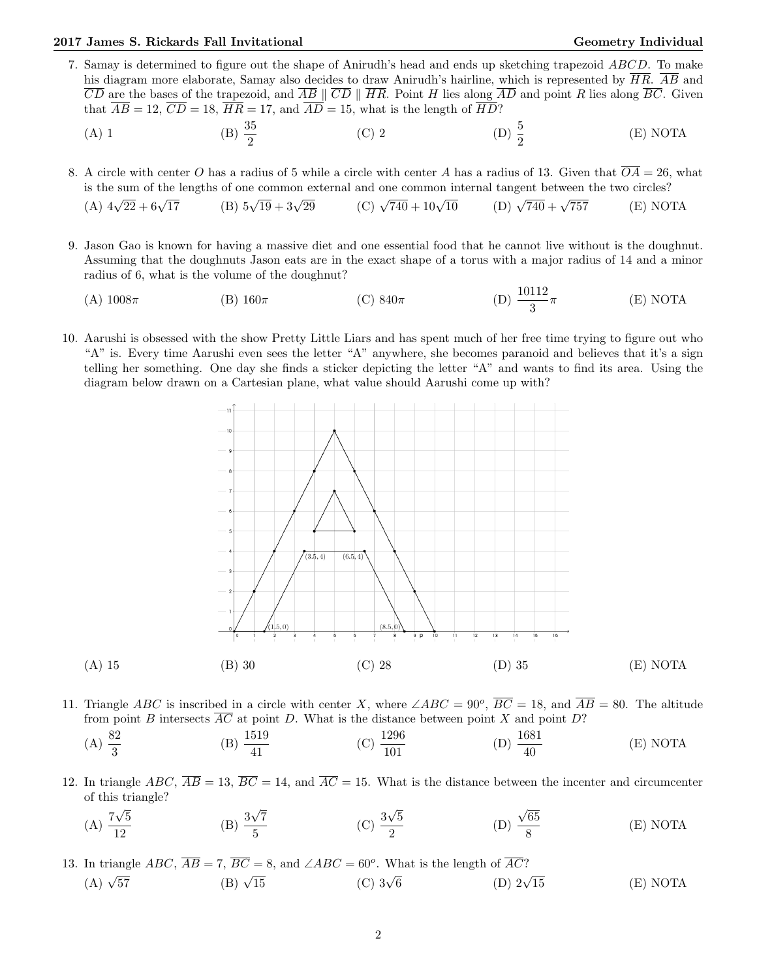## 2017 James S. Rickards Fall Invitational Christian Communication Ceometry Individual Geometry Individual

- 7. Samay is determined to figure out the shape of Anirudh's head and ends up sketching trapezoid ABCD. To make his diagram more elaborate, Samay also decides to draw Anirudh's hairline, which is represented by  $\overline{HR}$ .  $\overline{AB}$  and  $\overline{CD}$  are the bases of the trapezoid, and  $\overline{AB} \parallel \overline{CD} \parallel \overline{HR}$ . Point H lies along  $\overline{AD}$  and point R lies along  $\overline{BC}$ . Given that  $\overline{AB} = 12$ ,  $\overline{CD} = 18$ ,  $\overline{HR} = 17$ , and  $\overline{AD} = 15$ , what is the length of  $\overline{HD}$ ?
	- (A) 1 (B)  $\frac{35}{2}$ (C) 2 (D)  $\frac{5}{2}$ (E) NOTA

8. A circle with center O has a radius of 5 while a circle with center A has a radius of 13. Given that  $\overline{OA} = 26$ , what is the sum of the lengths of one common external and one common internal tangent between the two circles?

(A) 
$$
4\sqrt{22} + 6\sqrt{17}
$$
 (B)  $5\sqrt{19} + 3\sqrt{29}$  (C)  $\sqrt{740} + 10\sqrt{10}$  (D)  $\sqrt{740} + \sqrt{757}$  (E) NOTA

- 9. Jason Gao is known for having a massive diet and one essential food that he cannot live without is the doughnut. Assuming that the doughnuts Jason eats are in the exact shape of a torus with a major radius of 14 and a minor radius of 6, what is the volume of the doughnut?
	- (A)  $1008\pi$  (B)  $160\pi$  (C)  $840\pi$  (D)  $\frac{10112}{3}$  $(E) NOTA$
- 10. Aarushi is obsessed with the show Pretty Little Liars and has spent much of her free time trying to figure out who "A" is. Every time Aarushi even sees the letter "A" anywhere, she becomes paranoid and believes that it's a sign telling her something. One day she finds a sticker depicting the letter "A" and wants to find its area. Using the diagram below drawn on a Cartesian plane, what value should Aarushi come up with?



- 11. Triangle ABC is inscribed in a circle with center X, where  $\angle ABC = 90^{\circ}$ ,  $\overline{BC} = 18$ , and  $\overline{AB} = 80$ . The altitude from point B intersects  $\overline{AC}$  at point D. What is the distance between point X and point D?
	- (A)  $\frac{82}{3}$ (B)  $\frac{1519}{41}$  $(C) \frac{1296}{101}$ (D)  $\frac{1681}{40}$ (E) NOTA
- 12. In triangle ABC,  $\overline{AB} = 13$ ,  $\overline{BC} = 14$ , and  $\overline{AC} = 15$ . What is the distance between the incenter and circumcenter of this triangle?
	- $(A)$ <sup>7</sup> √ 5 12  $(B)$  $\frac{3}{4}$ √ 7  $\frac{\sqrt{7}}{5}$  (C)  $\frac{3}{5}$ √ 5 2 (D) √ 65 8 (E) NOTA

13. In triangle  $ABC$ ,  $\overline{AB} = 7$ ,  $\overline{BC} = 8$ , and  $\angle ABC = 60^{\circ}$ . What is the length of  $\overline{AC}$ ?  $(A)$   $\sqrt{57}$ (B)  $\sqrt{15}$  $(C)$  3 $\sqrt{6}$ (D)  $2\sqrt{15}$  $(E) NOTA$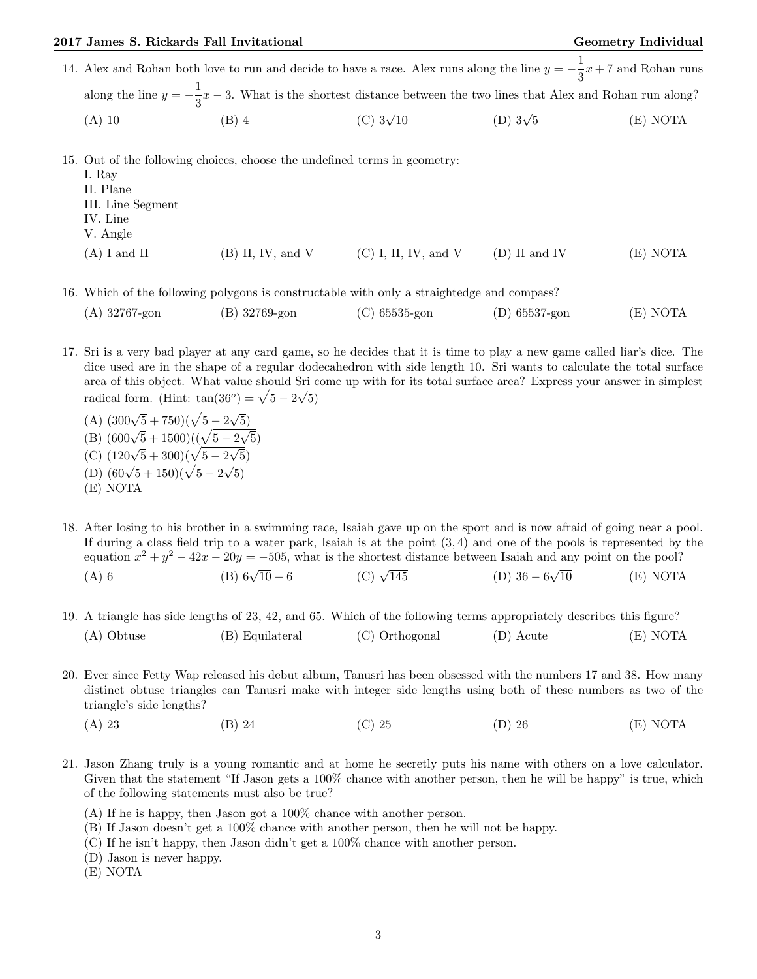|        |         |                  | 14. Alex and Rohan both love to run and decide to have a race. Alex runs along the line $y = -\frac{1}{3}x + 7$ and Rohan runs |          |
|--------|---------|------------------|--------------------------------------------------------------------------------------------------------------------------------|----------|
|        |         |                  | along the line $y = -\frac{1}{3}x - 3$ . What is the shortest distance between the two lines that Alex and Rohan run along?    |          |
| (A) 10 | $(B)$ 4 | (C) $3\sqrt{10}$ | (D) $3\sqrt{5}$                                                                                                                | (E) NOTA |

15. Out of the following choices, choose the undefined terms in geometry:

| $(B)$ II, IV, and V | $(C)$ I, II, IV, and V | $(D)$ II and IV | (E) NOTA |
|---------------------|------------------------|-----------------|----------|
|                     |                        |                 |          |

16. Which of the following polygons is constructable with only a straightedge and compass?

| $(A)$ 32767-gon | (B) 32769-gon | $(C)$ 65535-gon | $(D)$ 65537-gon | (E) NOTA |
|-----------------|---------------|-----------------|-----------------|----------|
|-----------------|---------------|-----------------|-----------------|----------|

- 17. Sri is a very bad player at any card game, so he decides that it is time to play a new game called liar's dice. The dice used are in the shape of a regular dodecahedron with side length 10. Sri wants to calculate the total surface area of this object. What value should Sri come up with for its total surface area? Express your answer in simplest radical form. (Hint:  $tan(36^\circ) = \sqrt{5-2}$  $\frac{51}{4}$ 5)
	- (A)  $(300\sqrt{5} + 750)(\sqrt{5} 2)$ √ 5) (B)  $(600\sqrt{5} + 1500)((\sqrt{5} - 2))$  $\frac{9}{4}$ 5) (C)  $(120\sqrt{5} + 300)(\sqrt{5} - 2)$ √ 5) (D)  $(60\sqrt{5} + 150)(\sqrt{5} - 2)$ √ 5)
	- (E) NOTA
- 18. After losing to his brother in a swimming race, Isaiah gave up on the sport and is now afraid of going near a pool. If during a class field trip to a water park, Isaiah is at the point  $(3,4)$  and one of the pools is represented by the equation  $x^2 + y^2 - 42x - 20y = -505$ , what is the shortest distance between Isaiah and any point on the pool? √
	- (A) 6 (B) 6√ (B)  $6\sqrt{10} - 6$  (C)  $\sqrt{145}$  $145$  (D)  $36-6$  $(E) NOTA$
- 19. A triangle has side lengths of 23, 42, and 65. Which of the following terms appropriately describes this figure? (A) Obtuse (B) Equilateral (C) Orthogonal (D) Acute (E) NOTA
- 20. Ever since Fetty Wap released his debut album, Tanusri has been obsessed with the numbers 17 and 38. How many distinct obtuse triangles can Tanusri make with integer side lengths using both of these numbers as two of the triangle's side lengths?
	- (A) 23 (B) 24 (C) 25 (D) 26 (E) NOTA
- 21. Jason Zhang truly is a young romantic and at home he secretly puts his name with others on a love calculator. Given that the statement "If Jason gets a 100% chance with another person, then he will be happy" is true, which of the following statements must also be true?
	- (A) If he is happy, then Jason got a 100% chance with another person.
	- (B) If Jason doesn't get a 100% chance with another person, then he will not be happy.
	- (C) If he isn't happy, then Jason didn't get a 100% chance with another person.
	- (D) Jason is never happy.
	- (E) NOTA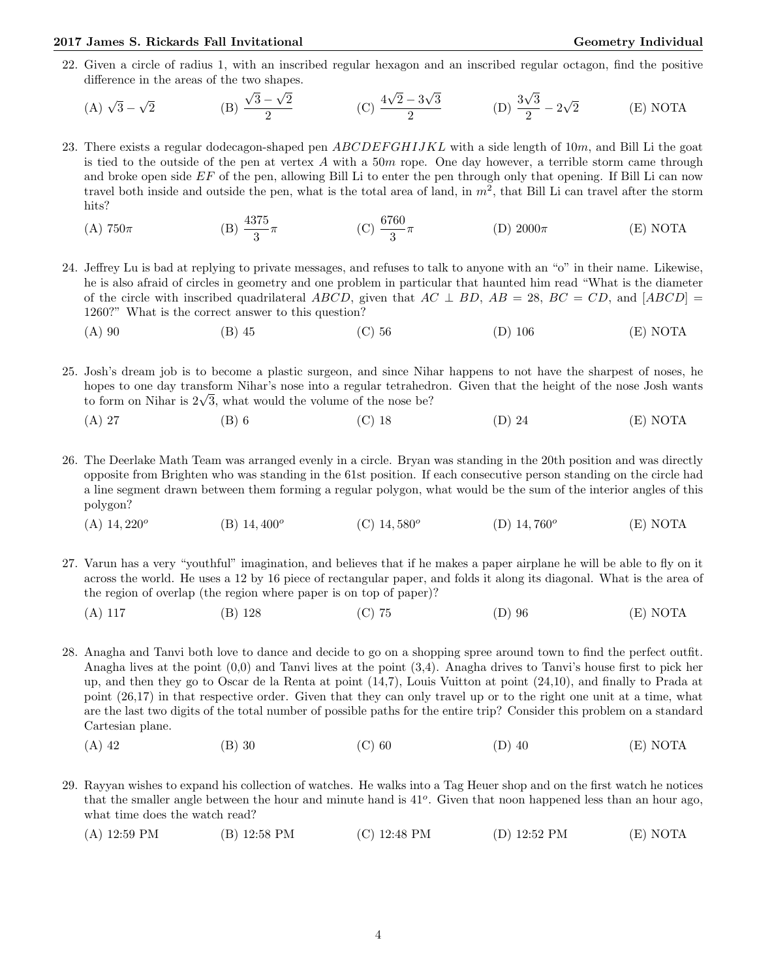## 2017 James S. Rickards Fall Invitational Christian Communication Ceometry Individual Geometry Individual

22. Given a circle of radius 1, with an inscribed regular hexagon and an inscribed regular octagon, find the positive difference in the areas of the two shapes. √ √ √

(A) 
$$
\sqrt{3} - \sqrt{2}
$$
 \t(B)  $\frac{\sqrt{3} - \sqrt{2}}{2}$  \t(C)  $\frac{4\sqrt{2} - 3\sqrt{3}}{2}$  \t(D)  $\frac{3\sqrt{3}}{2} - 2\sqrt{2}$  \t(E) NOTA

- 23. There exists a regular dodecagon-shaped pen  $ABCDEFGHJJKL$  with a side length of 10m, and Bill Li the goat is tied to the outside of the pen at vertex  $A$  with a 50 $m$  rope. One day however, a terrible storm came through and broke open side  $EF$  of the pen, allowing Bill Li to enter the pen through only that opening. If Bill Li can now travel both inside and outside the pen, what is the total area of land, in  $m^2$ , that Bill Li can travel after the storm hits?
	- (A)  $750\pi$  (B)  $\frac{4375}{3}$  $\pi$  (C)  $\frac{6760}{3}$ (D)  $2000\pi$  (E) NOTA
- 24. Jeffrey Lu is bad at replying to private messages, and refuses to talk to anyone with an "o" in their name. Likewise, he is also afraid of circles in geometry and one problem in particular that haunted him read "What is the diameter of the circle with inscribed quadrilateral ABCD, given that  $AC \perp BD$ ,  $AB = 28$ ,  $BC = CD$ , and  $[ABCD] =$ 1260?" What is the correct answer to this question?
	- (A) 90 (B) 45 (C) 56 (D) 106 (E) NOTA
- 25. Josh's dream job is to become a plastic surgeon, and since Nihar happens to not have the sharpest of noses, he hopes to one day transform Nihar's nose into a regular tetrahedron. Given that the height of the nose Josh wants hopes to one day transform Nihar's nose into a regular tetrahedi<br>to form on Nihar is  $2\sqrt{3}$ , what would the volume of the nose be?
	- (A) 27 (B) 6 (C) 18 (D) 24 (E) NOTA
- 26. The Deerlake Math Team was arranged evenly in a circle. Bryan was standing in the 20th position and was directly opposite from Brighten who was standing in the 61st position. If each consecutive person standing on the circle had a line segment drawn between them forming a regular polygon, what would be the sum of the interior angles of this polygon?
	- $(A)$  14, 220<sup>o</sup> (B)  $14,400^{\circ}$ (C)  $14,580^o$ (D)  $14,760^{\circ}$ (E) NOTA
- 27. Varun has a very "youthful" imagination, and believes that if he makes a paper airplane he will be able to fly on it across the world. He uses a 12 by 16 piece of rectangular paper, and folds it along its diagonal. What is the area of the region of overlap (the region where paper is on top of paper)?
	- (A) 117 (B) 128 (C) 75 (D) 96 (E) NOTA
- 28. Anagha and Tanvi both love to dance and decide to go on a shopping spree around town to find the perfect outfit. Anagha lives at the point (0,0) and Tanvi lives at the point (3,4). Anagha drives to Tanvi's house first to pick her up, and then they go to Oscar de la Renta at point (14,7), Louis Vuitton at point (24,10), and finally to Prada at point (26,17) in that respective order. Given that they can only travel up or to the right one unit at a time, what are the last two digits of the total number of possible paths for the entire trip? Consider this problem on a standard Cartesian plane.
	- (A) 42 (B) 30 (C) 60 (D) 40 (E) NOTA
- 29. Rayyan wishes to expand his collection of watches. He walks into a Tag Heuer shop and on the first watch he notices that the smaller angle between the hour and minute hand is 41<sup>o</sup>. Given that noon happened less than an hour ago, what time does the watch read?
	- (A) 12:59 PM (B) 12:58 PM (C) 12:48 PM (D) 12:52 PM (E) NOTA